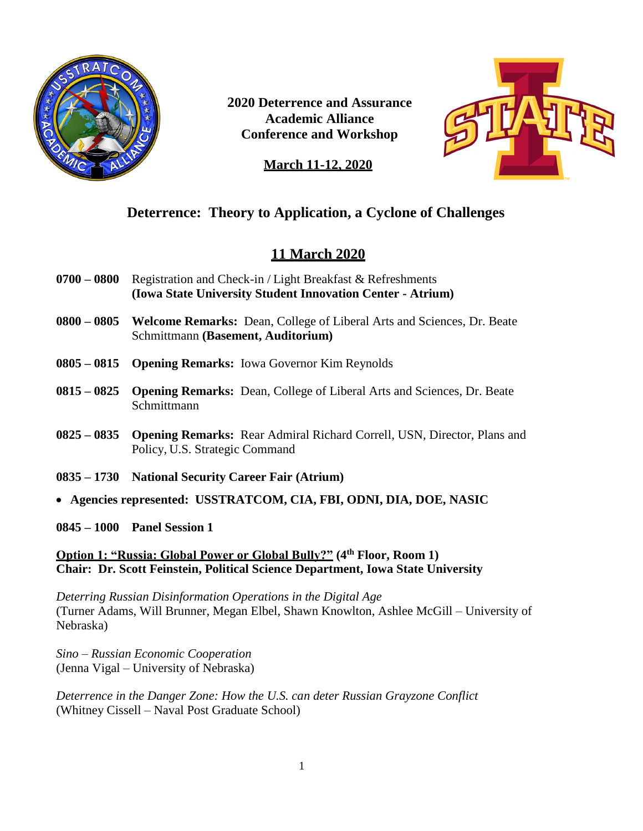

**2020 Deterrence and Assurance Academic Alliance Conference and Workshop**



## **March 11-12, 2020**

# **Deterrence: Theory to Application, a Cyclone of Challenges**

# **11 March 2020**

- **0700 – 0800** Registration and Check-in / Light Breakfast & Refreshments **(Iowa State University Student Innovation Center - Atrium)**
- **0800 – 0805 Welcome Remarks:** Dean, College of Liberal Arts and Sciences, Dr. Beate Schmittmann **(Basement, Auditorium)**
- **0805 – 0815 Opening Remarks:** Iowa Governor Kim Reynolds
- **0815 – 0825 Opening Remarks:** Dean, College of Liberal Arts and Sciences, Dr. Beate Schmittmann
- **0825 – 0835 Opening Remarks:** Rear Admiral Richard Correll, USN, Director, Plans and Policy, U.S. Strategic Command
- **0835 – 1730 National Security Career Fair (Atrium)**
- **Agencies represented: USSTRATCOM, CIA, FBI, ODNI, DIA, DOE, NASIC**
- **0845 – 1000 Panel Session 1**

## **Option 1: "Russia: Global Power or Global Bully?" (4th Floor, Room 1) Chair: Dr. Scott Feinstein, Political Science Department, Iowa State University**

*Deterring Russian Disinformation Operations in the Digital Age* (Turner Adams, Will Brunner, Megan Elbel, Shawn Knowlton, Ashlee McGill – University of Nebraska)

*Sino – Russian Economic Cooperation* (Jenna Vigal – University of Nebraska)

*Deterrence in the Danger Zone: How the U.S. can deter Russian Grayzone Conflict* (Whitney Cissell – Naval Post Graduate School)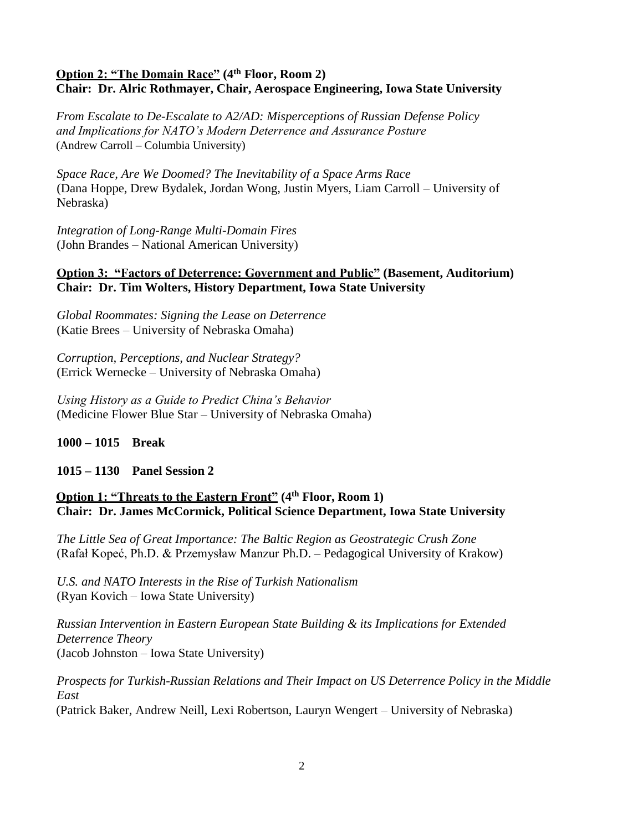## **Option 2: "The Domain Race" (4th Floor, Room 2) Chair: Dr. Alric Rothmayer, Chair, Aerospace Engineering, Iowa State University**

*From Escalate to De-Escalate to A2/AD: Misperceptions of Russian Defense Policy and Implications for NATO's Modern Deterrence and Assurance Posture* (Andrew Carroll – Columbia University)

*Space Race, Are We Doomed? The Inevitability of a Space Arms Race* (Dana Hoppe, Drew Bydalek, Jordan Wong, Justin Myers, Liam Carroll – University of Nebraska)

*Integration of Long-Range Multi-Domain Fires* (John Brandes – National American University)

#### **Option 3: "Factors of Deterrence: Government and Public" (Basement, Auditorium) Chair: Dr. Tim Wolters, History Department, Iowa State University**

*Global Roommates: Signing the Lease on Deterrence* (Katie Brees – University of Nebraska Omaha)

*Corruption, Perceptions, and Nuclear Strategy?* (Errick Wernecke – University of Nebraska Omaha)

*Using History as a Guide to Predict China's Behavior* (Medicine Flower Blue Star – University of Nebraska Omaha)

### **1000 – 1015 Break**

**1015 – 1130 Panel Session 2**

## **Option 1: "Threats to the Eastern Front" (4th Floor, Room 1) Chair: Dr. James McCormick, Political Science Department, Iowa State University**

*The Little Sea of Great Importance: The Baltic Region as Geostrategic Crush Zone* (Rafał Kopeć, Ph.D. & Przemysław Manzur Ph.D. – Pedagogical University of Krakow)

*U.S. and NATO Interests in the Rise of Turkish Nationalism* (Ryan Kovich – Iowa State University)

*Russian Intervention in Eastern European State Building & its Implications for Extended Deterrence Theory* (Jacob Johnston – Iowa State University)

*Prospects for Turkish-Russian Relations and Their Impact on US Deterrence Policy in the Middle East* (Patrick Baker, Andrew Neill, Lexi Robertson, Lauryn Wengert – University of Nebraska)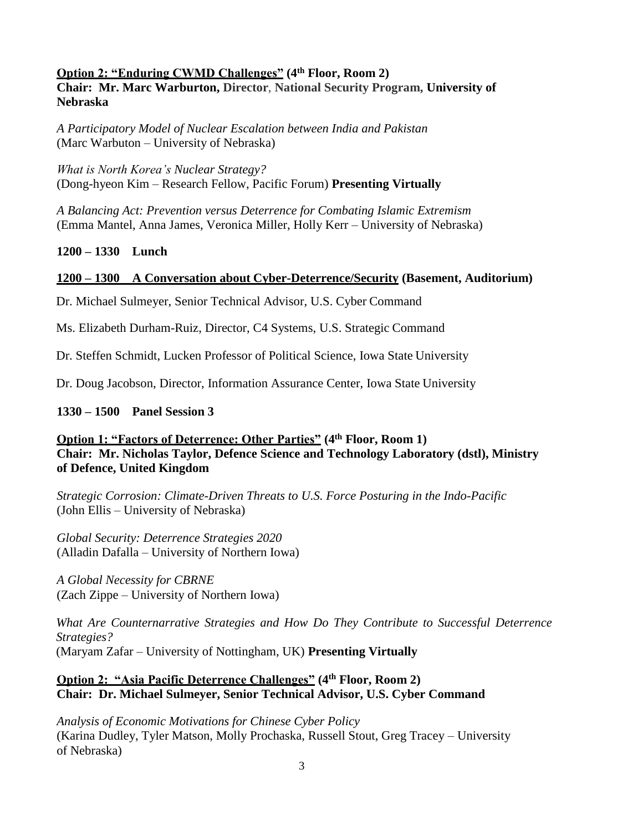#### **Option 2: "Enduring CWMD Challenges" (4th Floor, Room 2)**

**Chair: Mr. Marc Warburton, Director**, **National Security Program, University of Nebraska**

*A Participatory Model of Nuclear Escalation between India and Pakistan* (Marc Warbuton – University of Nebraska)

*What is North Korea's Nuclear Strategy?* (Dong-hyeon Kim – Research Fellow, Pacific Forum) **Presenting Virtually**

*A Balancing Act: Prevention versus Deterrence for Combating Islamic Extremism* (Emma Mantel, Anna James, Veronica Miller, Holly Kerr – University of Nebraska)

#### **1200 – 1330 Lunch**

#### **1200 – 1300 A Conversation about Cyber-Deterrence/Security (Basement, Auditorium)**

Dr. Michael Sulmeyer, Senior Technical Advisor, U.S. Cyber Command

Ms. Elizabeth Durham-Ruiz, Director, C4 Systems, U.S. Strategic Command

Dr. Steffen Schmidt, Lucken Professor of Political Science, Iowa State University

Dr. Doug Jacobson, Director, Information Assurance Center, Iowa State University

#### **1330 – 1500 Panel Session 3**

**Option 1: "Factors of Deterrence: Other Parties" (4th Floor, Room 1) Chair: Mr. Nicholas Taylor, Defence Science and Technology Laboratory (dstl), Ministry of Defence, United Kingdom** 

*Strategic Corrosion: Climate-Driven Threats to U.S. Force Posturing in the Indo-Pacific* (John Ellis – University of Nebraska)

*Global Security: Deterrence Strategies 2020* (Alladin Dafalla – University of Northern Iowa)

*A Global Necessity for CBRNE* (Zach Zippe – University of Northern Iowa)

*What Are Counternarrative Strategies and How Do They Contribute to Successful Deterrence Strategies?* (Maryam Zafar – University of Nottingham, UK) **Presenting Virtually**

#### **Option 2: "Asia Pacific Deterrence Challenges" (4th Floor, Room 2) Chair: Dr. Michael Sulmeyer, Senior Technical Advisor, U.S. Cyber Command**

*Analysis of Economic Motivations for Chinese Cyber Policy* (Karina Dudley, Tyler Matson, Molly Prochaska, Russell Stout, Greg Tracey – University of Nebraska)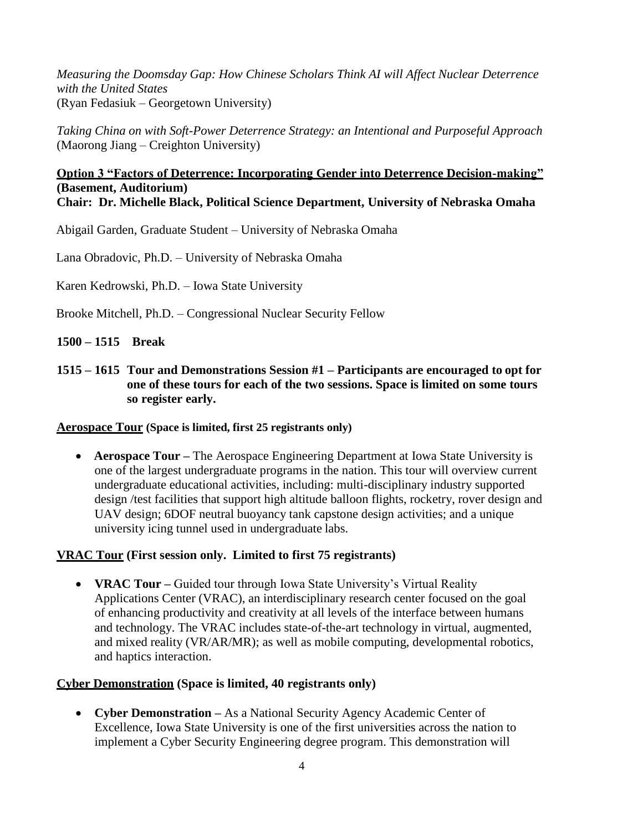*Measuring the Doomsday Gap: How Chinese Scholars Think AI will Affect Nuclear Deterrence with the United States* (Ryan Fedasiuk – Georgetown University)

*Taking China on with Soft-Power Deterrence Strategy: an Intentional and Purposeful Approach* (Maorong Jiang – Creighton University)

#### **Option 3 "Factors of Deterrence: Incorporating Gender into Deterrence Decision-making" (Basement, Auditorium) Chair: Dr. Michelle Black, Political Science Department, University of Nebraska Omaha**

Abigail Garden, Graduate Student – University of Nebraska Omaha

Lana Obradovic, Ph.D. – University of Nebraska Omaha

Karen Kedrowski, Ph.D. – Iowa State University

Brooke Mitchell, Ph.D. – Congressional Nuclear Security Fellow

### **1500 – 1515 Break**

**1515 – 1615 Tour and Demonstrations Session #1 – Participants are encouraged to opt for one of these tours for each of the two sessions. Space is limited on some tours so register early.**

#### **Aerospace Tour (Space is limited, first 25 registrants only)**

 **Aerospace Tour –** The Aerospace Engineering Department at Iowa State University is one of the largest undergraduate programs in the nation. This tour will overview current undergraduate educational activities, including: multi-disciplinary industry supported design /test facilities that support high altitude balloon flights, rocketry, rover design and UAV design; 6DOF neutral buoyancy tank capstone design activities; and a unique university icing tunnel used in undergraduate labs.

#### **VRAC Tour (First session only. Limited to first 75 registrants)**

 **VRAC Tour –** Guided tour through Iowa State University's Virtual Reality Applications Center (VRAC), an interdisciplinary research center focused on the goal of enhancing productivity and creativity at all levels of the interface between humans and technology. The VRAC includes state-of-the-art technology in virtual, augmented, and mixed reality (VR/AR/MR); as well as mobile computing, developmental robotics, and haptics interaction.

#### **Cyber Demonstration (Space is limited, 40 registrants only)**

 **Cyber Demonstration –** As a National Security Agency Academic Center of Excellence, Iowa State University is one of the first universities across the nation to implement a Cyber Security Engineering degree program. This demonstration will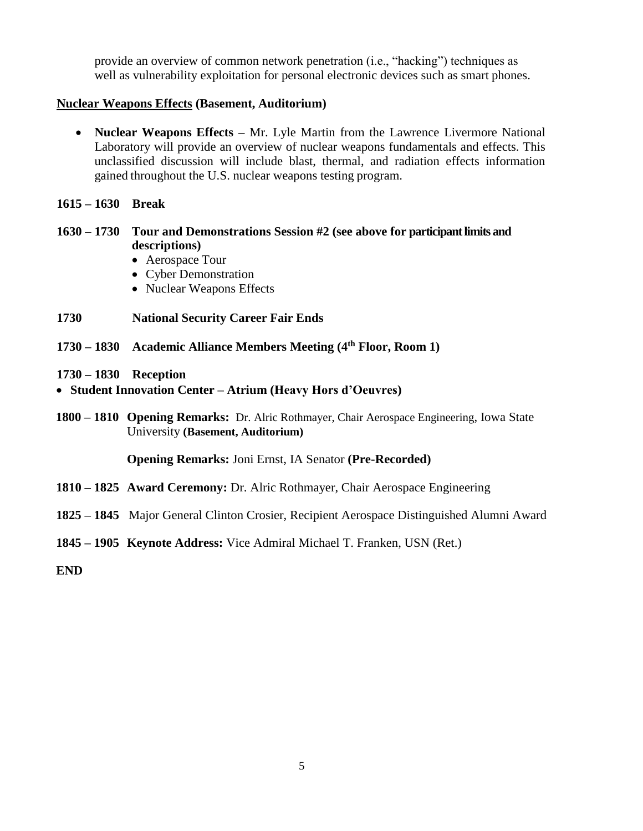provide an overview of common network penetration (i.e., "hacking") techniques as well as vulnerability exploitation for personal electronic devices such as smart phones.

#### **Nuclear Weapons Effects (Basement, Auditorium)**

- **Nuclear Weapons Effects –** Mr. Lyle Martin from the Lawrence Livermore National Laboratory will provide an overview of nuclear weapons fundamentals and effects. This unclassified discussion will include blast, thermal, and radiation effects information gained throughout the U.S. nuclear weapons testing program.
- **1615 – 1630 Break**

#### **1630 – 1730 Tour and Demonstrations Session #2 (see above for participant limits and descriptions)**

- Aerospace Tour
- Cyber Demonstration
- Nuclear Weapons Effects
- **1730 National Security Career Fair Ends**
- **1730 – 1830 Academic Alliance Members Meeting (4th Floor, Room 1)**
- **1730 – 1830 Reception**
- **Student Innovation Center – Atrium (Heavy Hors d'Oeuvres)**
- **1800 – 1810 Opening Remarks:** Dr. Alric Rothmayer, Chair Aerospace Engineering, Iowa State University **(Basement, Auditorium)**

**Opening Remarks:** Joni Ernst, IA Senator **(Pre-Recorded)**

- **1810 – 1825 Award Ceremony:** Dr. Alric Rothmayer, Chair Aerospace Engineering
- **1825 – 1845** Major General Clinton Crosier, Recipient Aerospace Distinguished Alumni Award
- **1845 – 1905 Keynote Address:** Vice Admiral Michael T. Franken, USN (Ret.)

**END**